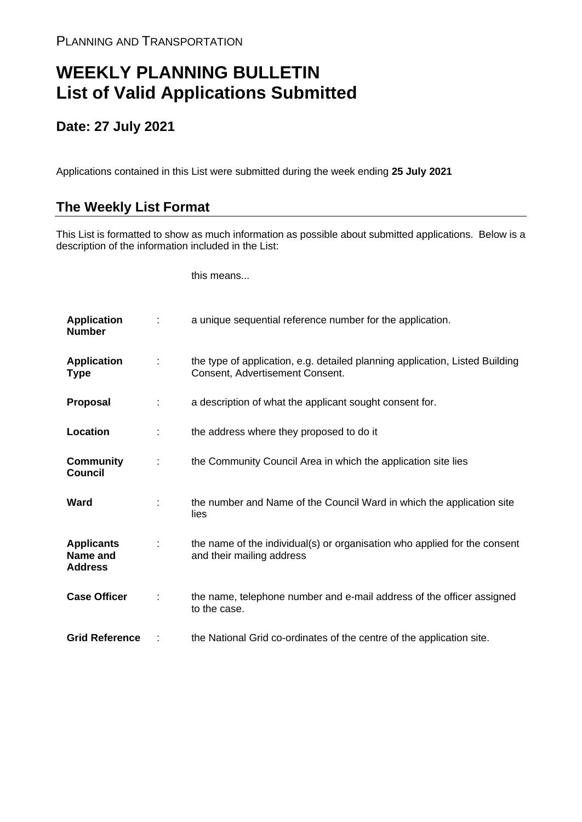## **WEEKLY PLANNING BULLETIN List of Valid Applications Submitted**

## **Date: 27 July 2021**

Applications contained in this List were submitted during the week ending **25 July 2021**

## **The Weekly List Format**

This List is formatted to show as much information as possible about submitted applications. Below is a description of the information included in the List:

this means...

| <b>Application</b><br><b>Number</b>             |   | a unique sequential reference number for the application.                                                       |
|-------------------------------------------------|---|-----------------------------------------------------------------------------------------------------------------|
| <b>Application</b><br><b>Type</b>               | ÷ | the type of application, e.g. detailed planning application, Listed Building<br>Consent, Advertisement Consent. |
| <b>Proposal</b>                                 | ÷ | a description of what the applicant sought consent for.                                                         |
| Location                                        | ÷ | the address where they proposed to do it                                                                        |
| <b>Community</b><br><b>Council</b>              | ÷ | the Community Council Area in which the application site lies                                                   |
| Ward                                            |   | the number and Name of the Council Ward in which the application site<br>lies                                   |
| <b>Applicants</b><br>Name and<br><b>Address</b> |   | the name of the individual(s) or organisation who applied for the consent<br>and their mailing address          |
| <b>Case Officer</b>                             | ÷ | the name, telephone number and e-mail address of the officer assigned<br>to the case.                           |
| <b>Grid Reference</b>                           |   | the National Grid co-ordinates of the centre of the application site.                                           |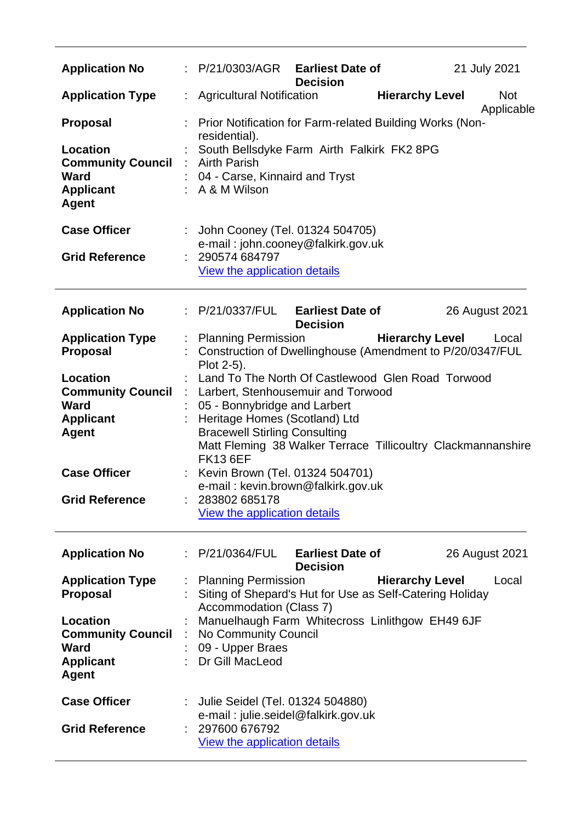| <b>Application No</b>                                                                                        | : P/21/0303/AGR<br><b>Earliest Date of</b><br>21 July 2021<br><b>Decision</b>                                                                                                                                                                                                             |  |
|--------------------------------------------------------------------------------------------------------------|-------------------------------------------------------------------------------------------------------------------------------------------------------------------------------------------------------------------------------------------------------------------------------------------|--|
| <b>Application Type</b>                                                                                      | <b>Hierarchy Level</b><br>: Agricultural Notification<br><b>Not</b><br>Applicable                                                                                                                                                                                                         |  |
| <b>Proposal</b><br>Location<br><b>Community Council :</b><br><b>Ward</b><br><b>Applicant</b><br><b>Agent</b> | : Prior Notification for Farm-related Building Works (Non-<br>residential).<br>South Bellsdyke Farm Airth Falkirk FK2 8PG<br><b>Airth Parish</b><br>04 - Carse, Kinnaird and Tryst<br>: A & M Wilson                                                                                      |  |
| <b>Case Officer</b>                                                                                          | : John Cooney (Tel. 01324 504705)<br>e-mail: john.cooney@falkirk.gov.uk                                                                                                                                                                                                                   |  |
| <b>Grid Reference</b>                                                                                        | : 290574 684797<br><b>View the application details</b>                                                                                                                                                                                                                                    |  |
| <b>Application No</b>                                                                                        | : P/21/0337/FUL<br><b>Earliest Date of</b><br>26 August 2021<br><b>Decision</b>                                                                                                                                                                                                           |  |
| <b>Application Type</b><br><b>Proposal</b>                                                                   | : Planning Permission<br><b>Hierarchy Level</b><br>Local<br>Construction of Dwellinghouse (Amendment to P/20/0347/FUL<br>Plot 2-5).                                                                                                                                                       |  |
| Location<br><b>Community Council</b><br><b>Ward</b><br><b>Applicant</b><br><b>Agent</b>                      | Land To The North Of Castlewood Glen Road Torwood<br>Larbert, Stenhousemuir and Torwood<br>÷.<br>05 - Bonnybridge and Larbert<br>Heritage Homes (Scotland) Ltd<br><b>Bracewell Stirling Consulting</b><br>Matt Fleming 38 Walker Terrace Tillicoultry Clackmannanshire<br><b>FK13 6EF</b> |  |
| <b>Case Officer</b><br><b>Grid Reference</b>                                                                 | Kevin Brown (Tel. 01324 504701)<br>e-mail: kevin.brown@falkirk.gov.uk<br>283802 685178<br>View the application details                                                                                                                                                                    |  |
| <b>Application No</b>                                                                                        | <b>Earliest Date of</b><br>: P/21/0364/FUL<br>26 August 2021<br><b>Decision</b>                                                                                                                                                                                                           |  |
| <b>Application Type</b><br><b>Proposal</b>                                                                   | <b>Planning Permission</b><br><b>Hierarchy Level</b><br>Local<br>Siting of Shepard's Hut for Use as Self-Catering Holiday<br>Accommodation (Class 7)                                                                                                                                      |  |
| Location<br><b>Community Council</b><br><b>Ward</b><br><b>Applicant</b><br><b>Agent</b>                      | Manuelhaugh Farm Whitecross Linlithgow EH49 6JF<br>No Community Council<br>09 - Upper Braes<br>Dr Gill MacLeod                                                                                                                                                                            |  |
| <b>Case Officer</b><br><b>Grid Reference</b>                                                                 | Julie Seidel (Tel. 01324 504880)<br>e-mail: julie.seidel@falkirk.gov.uk<br>: 297600 676792<br><b>View the application details</b>                                                                                                                                                         |  |

 $\overline{\phantom{0}}$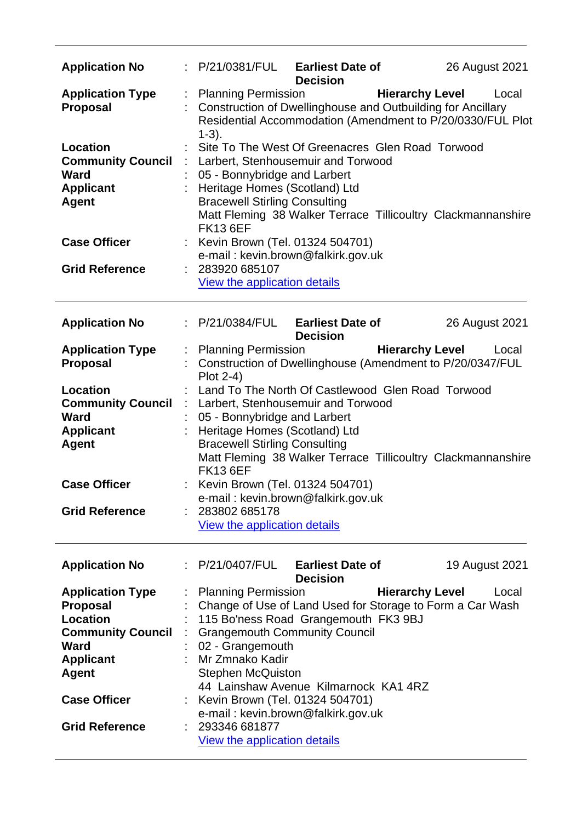| <b>Application No</b>                                                                                                                                                                        |                       | : P/21/0381/FUL Earliest Date of                                                                                                                                                                                                                                                                                                                                                                                     | <b>Decision</b>                            |                        | 26 August 2021                                                      |  |
|----------------------------------------------------------------------------------------------------------------------------------------------------------------------------------------------|-----------------------|----------------------------------------------------------------------------------------------------------------------------------------------------------------------------------------------------------------------------------------------------------------------------------------------------------------------------------------------------------------------------------------------------------------------|--------------------------------------------|------------------------|---------------------------------------------------------------------|--|
| <b>Application Type</b><br>Proposal                                                                                                                                                          | ÷.                    | <b>Planning Permission</b><br>Construction of Dwellinghouse and Outbuilding for Ancillary<br>$1-3$ ).                                                                                                                                                                                                                                                                                                                |                                            | <b>Hierarchy Level</b> | Local<br>Residential Accommodation (Amendment to P/20/0330/FUL Plot |  |
| <b>Location</b><br><b>Community Council</b><br><b>Ward</b><br><b>Applicant</b><br><b>Agent</b>                                                                                               |                       | Site To The West Of Greenacres Glen Road Torwood<br>: Larbert, Stenhousemuir and Torwood<br>05 - Bonnybridge and Larbert<br>Heritage Homes (Scotland) Ltd<br><b>Bracewell Stirling Consulting</b><br>Matt Fleming 38 Walker Terrace Tillicoultry Clackmannanshire<br><b>FK13 6EF</b>                                                                                                                                 |                                            |                        |                                                                     |  |
| <b>Case Officer</b><br><b>Grid Reference</b>                                                                                                                                                 |                       | Kevin Brown (Tel. 01324 504701)<br>e-mail: kevin.brown@falkirk.gov.uk<br>: 283920 685107                                                                                                                                                                                                                                                                                                                             |                                            |                        |                                                                     |  |
|                                                                                                                                                                                              |                       | <b>View the application details</b>                                                                                                                                                                                                                                                                                                                                                                                  |                                            |                        |                                                                     |  |
| <b>Application No</b>                                                                                                                                                                        |                       | : P/21/0384/FUL Earliest Date of                                                                                                                                                                                                                                                                                                                                                                                     | <b>Decision</b>                            |                        | 26 August 2021                                                      |  |
| <b>Application Type</b><br><b>Proposal</b>                                                                                                                                                   |                       | : Planning Permission <b>Hierarchy Level</b><br>Construction of Dwellinghouse (Amendment to P/20/0347/FUL<br>Plot 2-4)                                                                                                                                                                                                                                                                                               |                                            |                        | Local                                                               |  |
| Location<br><b>Community Council</b><br><b>Ward</b><br><b>Applicant</b><br><b>Agent</b>                                                                                                      | $\mathbb{Z}^{\times}$ | Land To The North Of Castlewood Glen Road Torwood<br>Larbert, Stenhousemuir and Torwood<br>05 - Bonnybridge and Larbert<br>Heritage Homes (Scotland) Ltd<br><b>Bracewell Stirling Consulting</b><br>Matt Fleming 38 Walker Terrace Tillicoultry Clackmannanshire<br><b>FK13 6EF</b>                                                                                                                                  |                                            |                        |                                                                     |  |
| <b>Case Officer</b><br><b>Grid Reference</b>                                                                                                                                                 |                       | Kevin Brown (Tel. 01324 504701)<br>e-mail: kevin.brown@falkirk.gov.uk<br>283802 685178                                                                                                                                                                                                                                                                                                                               |                                            |                        |                                                                     |  |
|                                                                                                                                                                                              |                       | View the application details                                                                                                                                                                                                                                                                                                                                                                                         |                                            |                        |                                                                     |  |
| <b>Application No</b>                                                                                                                                                                        |                       | P/21/0407/FUL                                                                                                                                                                                                                                                                                                                                                                                                        | <b>Earliest Date of</b><br><b>Decision</b> |                        | 19 August 2021                                                      |  |
| <b>Application Type</b><br><b>Proposal</b><br><b>Location</b><br><b>Community Council</b><br><b>Ward</b><br><b>Applicant</b><br><b>Agent</b><br><b>Case Officer</b><br><b>Grid Reference</b> |                       | <b>Planning Permission</b><br>Change of Use of Land Used for Storage to Form a Car Wash<br>115 Bo'ness Road Grangemouth FK3 9BJ<br><b>Grangemouth Community Council</b><br>02 - Grangemouth<br>Mr Zmnako Kadir<br><b>Stephen McQuiston</b><br>44 Lainshaw Avenue Kilmarnock KA1 4RZ<br>Kevin Brown (Tel. 01324 504701)<br>e-mail: kevin.brown@falkirk.gov.uk<br>293346 681877<br><b>View the application details</b> |                                            | <b>Hierarchy Level</b> | Local                                                               |  |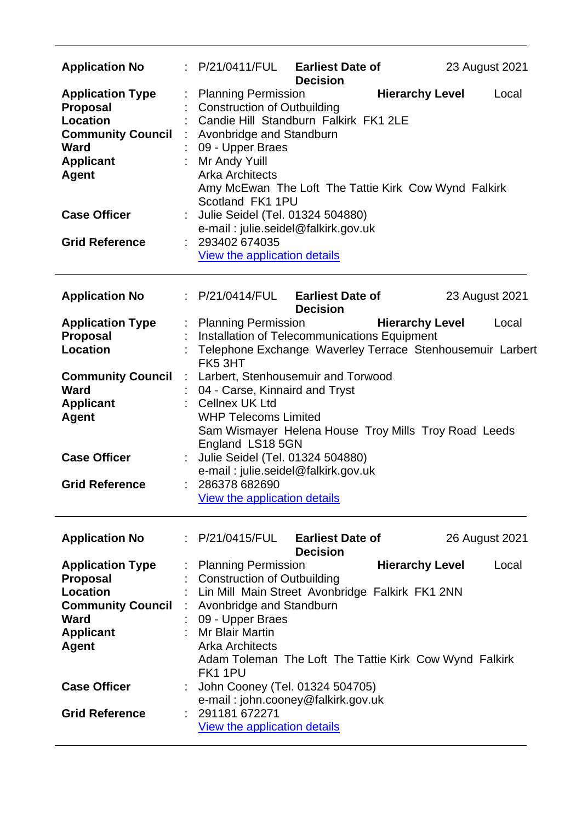| <b>Application No</b>                                                                                                                        |   | : P/21/0411/FUL<br><b>Earliest Date of</b><br>23 August 2021<br><b>Decision</b>                                                                                                                                                                                                                                                                     |  |  |  |
|----------------------------------------------------------------------------------------------------------------------------------------------|---|-----------------------------------------------------------------------------------------------------------------------------------------------------------------------------------------------------------------------------------------------------------------------------------------------------------------------------------------------------|--|--|--|
| <b>Application Type</b><br><b>Proposal</b><br><b>Location</b><br><b>Community Council</b><br><b>Ward</b><br><b>Applicant</b><br><b>Agent</b> |   | <b>Hierarchy Level</b><br><b>Planning Permission</b><br>Local<br><b>Construction of Outbuilding</b><br>Candie Hill Standburn Falkirk FK1 2LE<br>Avonbridge and Standburn<br>09 - Upper Braes<br>Mr Andy Yuill<br><b>Arka Architects</b><br>Amy McEwan The Loft The Tattie Kirk Cow Wynd Falkirk<br>Scotland FK1 1PU                                 |  |  |  |
| <b>Case Officer</b><br><b>Grid Reference</b>                                                                                                 |   | Julie Seidel (Tel. 01324 504880)<br>e-mail: julie.seidel@falkirk.gov.uk<br>: 293402 674035<br>View the application details                                                                                                                                                                                                                          |  |  |  |
| <b>Application No</b>                                                                                                                        |   | : P/21/0414/FUL<br><b>Earliest Date of</b><br>23 August 2021                                                                                                                                                                                                                                                                                        |  |  |  |
| <b>Application Type</b><br><b>Proposal</b><br><b>Location</b>                                                                                |   | <b>Decision</b><br>: Planning Permission<br><b>Hierarchy Level</b><br>Local<br>Installation of Telecommunications Equipment<br>Telephone Exchange Waverley Terrace Stenhousemuir Larbert                                                                                                                                                            |  |  |  |
| <b>Community Council</b><br><b>Ward</b><br><b>Applicant</b><br><b>Agent</b><br><b>Case Officer</b><br><b>Grid Reference</b>                  |   | FK5 3HT<br>: Larbert, Stenhousemuir and Torwood<br>04 - Carse, Kinnaird and Tryst<br>Cellnex UK Ltd<br><b>WHP Telecoms Limited</b><br>Sam Wismayer Helena House Troy Mills Troy Road Leeds<br>England LS18 5GN<br>Julie Seidel (Tel. 01324 504880)<br>e-mail: julie.seidel@falkirk.gov.uk<br>: 286378 682690<br><b>View the application details</b> |  |  |  |
| <b>Application No</b>                                                                                                                        |   | : $P/21/0415/FUL$<br><b>Earliest Date of</b><br>26 August 2021<br><b>Decision</b>                                                                                                                                                                                                                                                                   |  |  |  |
| <b>Application Type</b><br><b>Proposal</b><br><b>Location</b><br><b>Community Council</b><br><b>Ward</b><br><b>Applicant</b><br><b>Agent</b> | ÷ | <b>Hierarchy Level</b><br><b>Planning Permission</b><br>Local<br><b>Construction of Outbuilding</b><br>Lin Mill Main Street Avonbridge Falkirk FK1 2NN<br>Avonbridge and Standburn<br>09 - Upper Braes<br><b>Mr Blair Martin</b><br><b>Arka Architects</b><br>Adam Toleman The Loft The Tattie Kirk Cow Wynd Falkirk<br>FK1 1PU                     |  |  |  |
| <b>Case Officer</b><br><b>Grid Reference</b>                                                                                                 |   | John Cooney (Tel. 01324 504705)<br>e-mail: john.cooney@falkirk.gov.uk<br>291181 672271<br>View the application details                                                                                                                                                                                                                              |  |  |  |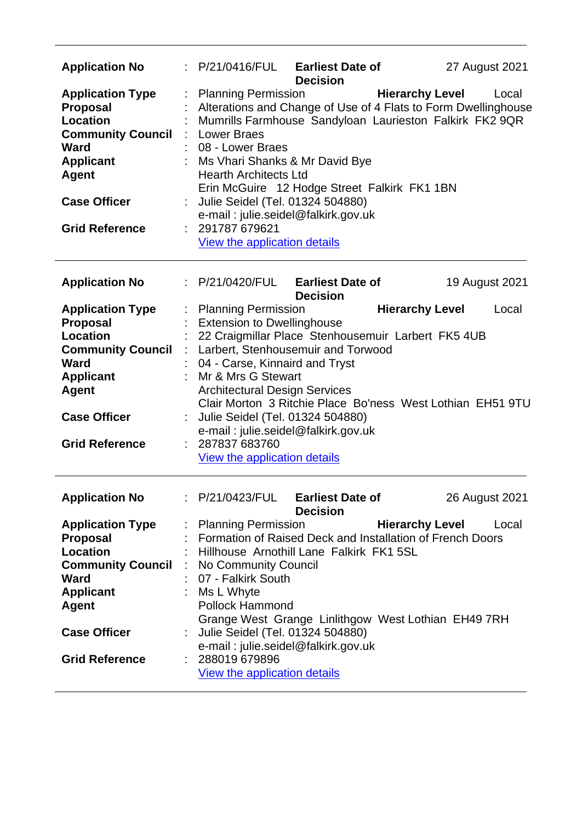| <b>Application No</b><br><b>Application Type</b>                                                                                                                                             | ÷ | : P/21/0416/FUL Earliest Date of                                                                                                                                                                                                                                                                                                                                                                                                                     | <b>Decision</b>                            |                        |  | 27 August 2021<br>Local |
|----------------------------------------------------------------------------------------------------------------------------------------------------------------------------------------------|---|------------------------------------------------------------------------------------------------------------------------------------------------------------------------------------------------------------------------------------------------------------------------------------------------------------------------------------------------------------------------------------------------------------------------------------------------------|--------------------------------------------|------------------------|--|-------------------------|
| <b>Proposal</b><br><b>Location</b><br><b>Community Council</b><br><b>Ward</b><br><b>Applicant</b><br><b>Agent</b><br><b>Case Officer</b><br><b>Grid Reference</b>                            |   | <b>Hierarchy Level</b><br><b>Planning Permission</b><br>Alterations and Change of Use of 4 Flats to Form Dwellinghouse<br>Mumrills Farmhouse Sandyloan Laurieston Falkirk FK2 9QR<br><b>Lower Braes</b><br>08 - Lower Braes<br>Ms Vhari Shanks & Mr David Bye<br><b>Hearth Architects Ltd</b><br>Erin McGuire 12 Hodge Street Falkirk FK1 1BN<br>Julie Seidel (Tel. 01324 504880)<br>e-mail: julie.seidel@falkirk.gov.uk<br>: 291787 679621          |                                            |                        |  |                         |
|                                                                                                                                                                                              |   | View the application details                                                                                                                                                                                                                                                                                                                                                                                                                         |                                            |                        |  |                         |
| <b>Application No</b>                                                                                                                                                                        |   | : P/21/0420/FUL                                                                                                                                                                                                                                                                                                                                                                                                                                      | <b>Earliest Date of</b><br><b>Decision</b> |                        |  | 19 August 2021          |
| <b>Application Type</b><br><b>Proposal</b><br><b>Location</b><br><b>Community Council</b><br>Ward<br><b>Applicant</b><br><b>Agent</b><br><b>Case Officer</b><br><b>Grid Reference</b>        |   | : Planning Permission<br><b>Extension to Dwellinghouse</b><br>22 Craigmillar Place Stenhousemuir Larbert FK5 4UB<br>: Larbert, Stenhousemuir and Torwood<br>04 - Carse, Kinnaird and Tryst<br>Mr & Mrs G Stewart<br><b>Architectural Design Services</b><br>Clair Morton 3 Ritchie Place Bo'ness West Lothian EH51 9TU<br>Julie Seidel (Tel. 01324 504880)<br>e-mail: julie.seidel@falkirk.gov.uk<br>: 287837 683760<br>View the application details |                                            | <b>Hierarchy Level</b> |  | Local                   |
| <b>Application No</b>                                                                                                                                                                        |   | P/21/0423/FUL                                                                                                                                                                                                                                                                                                                                                                                                                                        | <b>Earliest Date of</b><br><b>Decision</b> |                        |  | 26 August 2021          |
| <b>Application Type</b><br><b>Proposal</b><br><b>Location</b><br><b>Community Council</b><br><b>Ward</b><br><b>Applicant</b><br><b>Agent</b><br><b>Case Officer</b><br><b>Grid Reference</b> |   | <b>Planning Permission</b><br>Formation of Raised Deck and Installation of French Doors<br>Hillhouse Arnothill Lane Falkirk FK1 5SL<br>No Community Council<br>07 - Falkirk South<br>Ms L Whyte<br><b>Pollock Hammond</b><br>Grange West Grange Linlithgow West Lothian EH49 7RH<br>Julie Seidel (Tel. 01324 504880)<br>e-mail: julie.seidel@falkirk.gov.uk<br>288019 679896<br><b>View the application details</b>                                  |                                            | <b>Hierarchy Level</b> |  | Local                   |